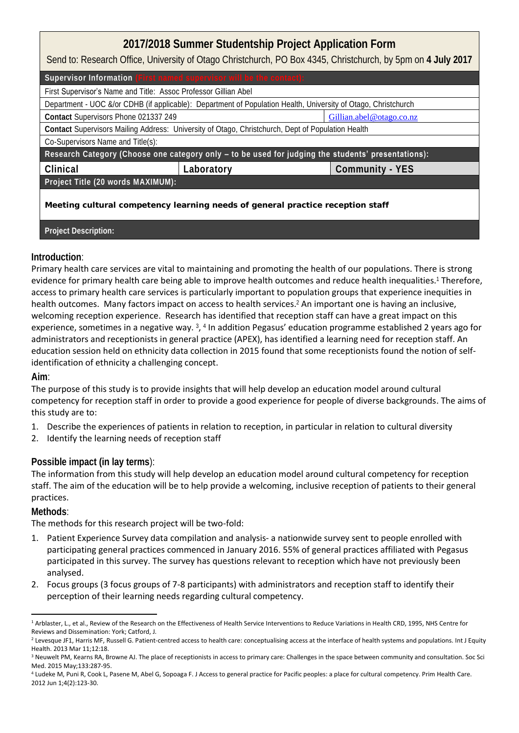## **2017/2018 Summer Studentship Project Application Form**

Send to: Research Office, University of Otago Christchurch, PO Box 4345, Christchurch, by 5pm on **4 July 2017**

| Supervisor Information (First named supervisor will be the contact):                                           |            |                          |  |
|----------------------------------------------------------------------------------------------------------------|------------|--------------------------|--|
| First Supervisor's Name and Title: Assoc Professor Gillian Abel                                                |            |                          |  |
| Department - UOC &/or CDHB (if applicable): Department of Population Health, University of Otago, Christchurch |            |                          |  |
| Contact Supervisors Phone 021337 249                                                                           |            | Gillian.abel@otago.co.nz |  |
| Contact Supervisors Mailing Address: University of Otago, Christchurch, Dept of Population Health              |            |                          |  |
| Co-Supervisors Name and Title(s):                                                                              |            |                          |  |
| Research Category (Choose one category only - to be used for judging the <b>students' presentations):</b>      |            |                          |  |
| Clinical                                                                                                       | Laboratory | Community - YES          |  |
| Project Title (20 words MAXIMUM):                                                                              |            |                          |  |
| Meeting cultural competency learning needs of general practice reception staff                                 |            |                          |  |

**Project Description:**

## **Introduction**:

Primary health care services are vital to maintaining and promoting the health of our populations. There is strong evidence for primary health care being able to improve health outcomes and reduce health inequalities.<sup>1</sup> Therefore, access to primary health care services is particularly important to population groups that experience inequities in health outcomes. Many factors impact on access to health services.<sup>2</sup> An important one is having an inclusive, welcoming reception experience. Research has identified that reception staff can have a great impact on this experience, sometimes in a negative way. <sup>3</sup>, <sup>4</sup> In addition Pegasus' education programme established 2 years ago for administrators and receptionists in general practice (APEX), has identified a learning need for reception staff. An education session held on ethnicity data collection in 2015 found that some receptionists found the notion of selfidentification of ethnicity a challenging concept.

## **Aim**:

The purpose of this study is to provide insights that will help develop an education model around cultural competency for reception staff in order to provide a good experience for people of diverse backgrounds. The aims of this study are to:

- 1. Describe the experiences of patients in relation to reception, in particular in relation to cultural diversity
- 2. Identify the learning needs of reception staff

## **Possible impact (in lay terms**):

The information from this study will help develop an education model around cultural competency for reception staff. The aim of the education will be to help provide a welcoming, inclusive reception of patients to their general practices.

**Methods**:

The methods for this research project will be two-fold:

- 1. Patient Experience Survey data compilation and analysis- a nationwide survey sent to people enrolled with participating general practices commenced in January 2016. 55% of general practices affiliated with Pegasus participated in this survey. The survey has questions relevant to reception which have not previously been analysed.
- 2. Focus groups (3 focus groups of 7-8 participants) with administrators and reception staff to identify their perception of their learning needs regarding cultural competency.

<sup>-</sup><sup>1</sup> Arblaster, L., et al., Review of the Research on the Effectiveness of Health Service Interventions to Reduce Variations in Health CRD, 1995, NHS Centre for Reviews and Dissemination: York; Catford, J.

<sup>2</sup> Levesque JF1, Harris MF, Russell G. Patient-centred access to health care: conceptualising access at the interface of health systems and populations. Int J Equity Health. 2013 Mar 11;12:18.

<sup>&</sup>lt;sup>3</sup> Neuwelt PM, Kearns RA, Browne AJ. The place of receptionists in access to primary care: Challenges in the space between community and consultation. Soc Sci Med. 2015 May;133:287-95.

<sup>4</sup> Ludeke M, Puni R, Cook L, Pasene M, Abel G, Sopoaga F. J Access to general practice for Pacific peoples: a place for cultural competency. Prim Health Care. 2012 Jun 1;4(2):123-30.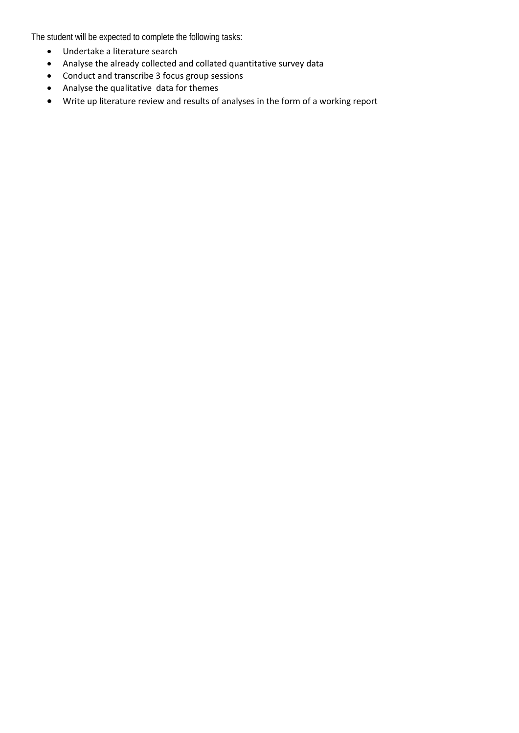The student will be expected to complete the following tasks:

- Undertake a literature search
- Analyse the already collected and collated quantitative survey data
- Conduct and transcribe 3 focus group sessions
- Analyse the qualitative data for themes
- Write up literature review and results of analyses in the form of a working report